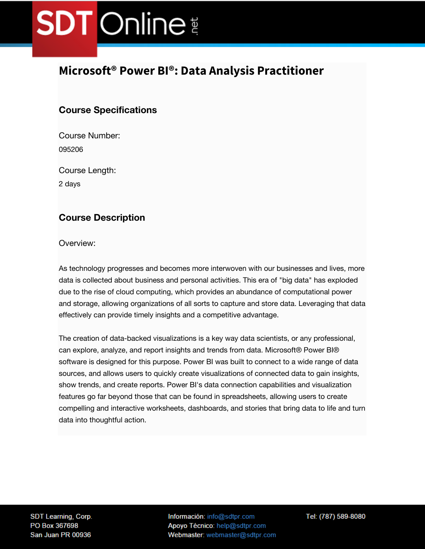## **Microsoft® Power BI®: Data Analysis Practitioner**

### **Course Specifications**

Course Number: 095206

Course Length:

2 days

### **Course Description**

Overview:

As technology progresses and becomes more interwoven with our businesses and lives, more data is collected about business and personal activities. This era of "big data" has exploded due to the rise of cloud computing, which provides an abundance of computational power and storage, allowing organizations of all sorts to capture and store data. Leveraging that data effectively can provide timely insights and a competitive advantage.

The creation of data-backed visualizations is a key way data scientists, or any professional, can explore, analyze, and report insights and trends from data. Microsoft® Power BI® software is designed for this purpose. Power BI was built to connect to a wide range of data sources, and allows users to quickly create visualizations of connected data to gain insights, show trends, and create reports. Power BI's data connection capabilities and visualization features go far beyond those that can be found in spreadsheets, allowing users to create compelling and interactive worksheets, dashboards, and stories that bring data to life and turn data into thoughtful action.

SDT Learning, Corp. PO Box 367698 San Juan PR 00936

Información: info@sdtpr.com Apoyo Técnico: help@sdtpr.com Webmaster: webmaster@sdtpr.com Tel: (787) 589-8080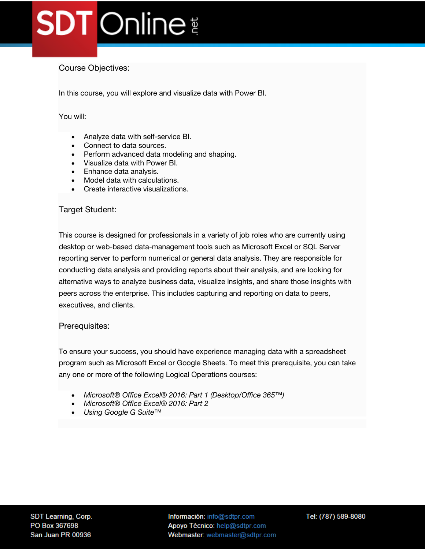### Course Objectives:

In this course, you will explore and visualize data with Power BI.

#### You will:

- Analyze data with self-service BI.
- Connect to data sources.
- Perform advanced data modeling and shaping.
- Visualize data with Power BI.
- Enhance data analysis.
- Model data with calculations.
- Create interactive visualizations.

#### Target Student:

This course is designed for professionals in a variety of job roles who are currently using desktop or web-based data-management tools such as Microsoft Excel or SQL Server reporting server to perform numerical or general data analysis. They are responsible for conducting data analysis and providing reports about their analysis, and are looking for alternative ways to analyze business data, visualize insights, and share those insights with peers across the enterprise. This includes capturing and reporting on data to peers, executives, and clients.

#### Prerequisites:

To ensure your success, you should have experience managing data with a spreadsheet program such as Microsoft Excel or Google Sheets. To meet this prerequisite, you can take any one or more of the following Logical Operations courses:

- *Microsoft® Office Excel® 2016: Part 1 (Desktop/Office 365™)*
- *Microsoft® Office Excel® 2016: Part 2*
- *Using Google G Suite™*

Información: info@sdtpr.com Apoyo Técnico: help@sdtpr.com Webmaster: webmaster@sdtpr.com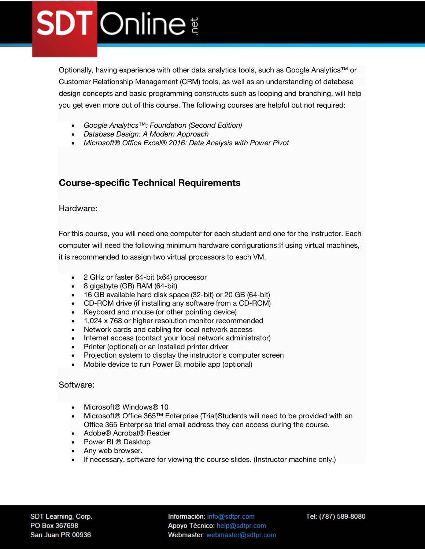Optionally, having experience with other data analytics tools, such as Google Analytics™ or Customer Relationship Management (CRM) tools, as well as an understanding of database design concepts and basic programming constructs such as looping and branching, will help you get even more out of this course. The following courses are helpful but not required:

- *Google Analytics™: Foundation (Second Edition)*
- *Database Design: A Modern Approach*
- *Microsoft® Office Excel® 2016: Data Analysis with Power Pivot*

### **Course-specific Technical Requirements**

#### Hardware:

For this course, you will need one computer for each student and one for the instructor. Each computer will need the following minimum hardware configurations:If using virtual machines, it is recommended to assign two virtual processors to each VM.

- 2 GHz or faster 64-bit (x64) processor
- 8 gigabyte (GB) RAM (64-bit)
- 16 GB available hard disk space (32-bit) or 20 GB (64-bit)
- CD-ROM drive (if installing any software from a CD-ROM)
- Keyboard and mouse (or other pointing device)
- 1,024 x 768 or higher resolution monitor recommended
- Network cards and cabling for local network access
- Internet access (contact your local network administrator)
- Printer (optional) or an installed printer driver
- Projection system to display the instructor's computer screen
- Mobile device to run Power BI mobile app (optional)

#### Software:

- Microsoft® Windows® 10
- Microsoft® Office 365™ Enterprise (Trial)Students will need to be provided with an Office 365 Enterprise trial email address they can access during the course.
- Adobe® Acrobat® Reader
- Power BI ® Desktop
- Any web browser.
- If necessary, software for viewing the course slides. (Instructor machine only.)